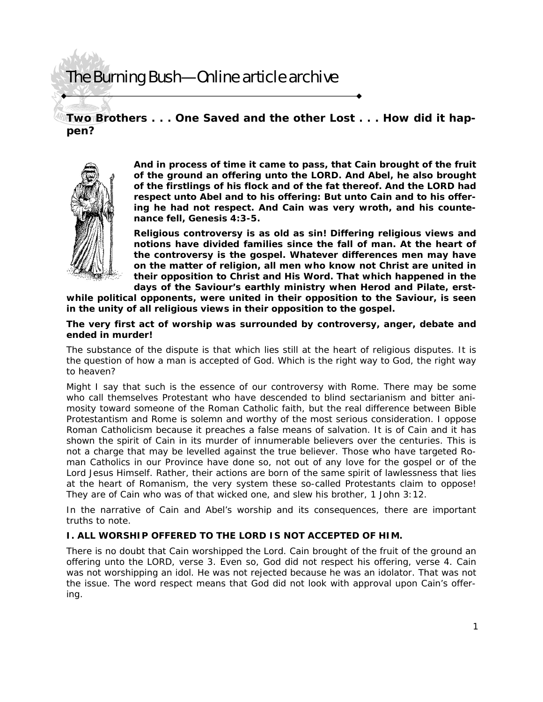**Two Brothers . . . One Saved and the other Lost . . . How did it happen?** 



*And in process of time it came to pass, that Cain brought of the fruit of the ground an offering unto the LORD. And Abel, he also brought of the firstlings of his flock and of the fat thereof. And the LORD had respect unto Abel and to his offering: But unto Cain and to his offering he had not respect. And Cain was very wroth, and his countenance fell, Genesis 4:3-5.* 

**Religious controversy is as old as sin! Differing religious views and notions have divided families since the fall of man. At the heart of the controversy is the gospel. Whatever differences men may have on the matter of religion, all men who know not Christ are united in their opposition to Christ and His Word. That which happened in the days of the Saviour's earthly ministry when Herod and Pilate, erst-**

**while political opponents, were united in their opposition to the Saviour, is seen in the unity of all religious views in their opposition to the gospel.** 

#### **The very first act of worship was surrounded by controversy, anger, debate and ended in murder!**

The substance of the dispute is that which lies still at the heart of religious disputes. It is the question of how a man is accepted of God. Which is the right way to God, the right way to heaven?

Might I say that such is the essence of our controversy with Rome. There may be some who call themselves Protestant who have descended to blind sectarianism and bitter animosity toward someone of the Roman Catholic faith, but the real difference between Bible Protestantism and Rome is solemn and worthy of the most serious consideration. I oppose Roman Catholicism because it preaches a false means of salvation. It is of Cain and it has shown the spirit of Cain in its murder of innumerable believers over the centuries. This is not a charge that may be levelled against the true believer. Those who have targeted Roman Catholics in our Province have done so, not out of any love for the gospel or of the Lord Jesus Himself. Rather, their actions are born of the same spirit of lawlessness that lies at the heart of Romanism, the very system these so-called Protestants claim to oppose! They are of Cain *who was of that wicked one, and slew his brother*, 1 John 3:12.

In the narrative of Cain and Abel's worship and its consequences, there are important truths to note.

### **I. ALL WORSHIP OFFERED TO THE LORD IS NOT ACCEPTED OF HIM.**

There is no doubt that Cain worshipped the Lord. *Cain brought of the fruit of the ground an offering unto the LORD*, verse 3. Even so, God did not respect his offering, verse 4. Cain was not worshipping an idol. He was not rejected because he was an idolator. That was not the issue. The word respect means that God did not look with approval upon Cain's offering.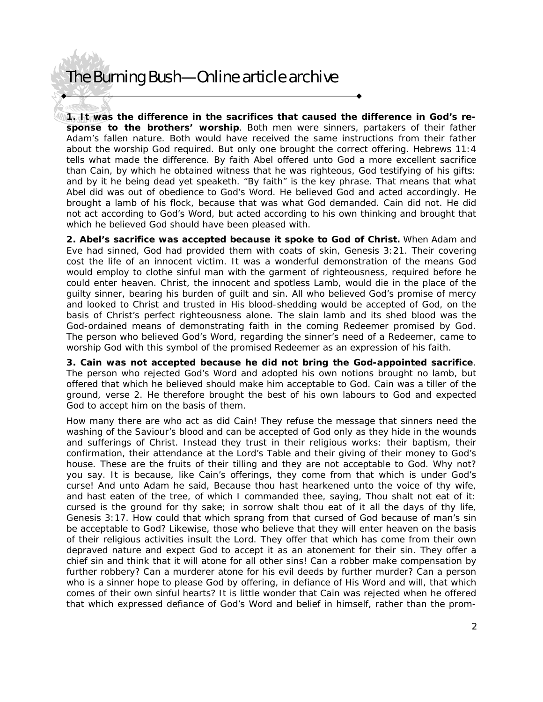**1. It was the difference in the sacrifices that caused the difference in God's response to the brothers' worship**. Both men were sinners, partakers of their father Adam's fallen nature. Both would have received the same instructions from their father about the worship God required. But only one brought the correct offering. Hebrews 11:4 tells what made the difference. *By faith Abel offered unto God a more excellent sacrifice than Cain, by which he obtained witness that he was righteous, God testifying of his gifts: and by it he being dead yet speaketh*. "By faith" is the key phrase. That means that what Abel did was out of obedience to God's Word. He believed God and acted accordingly. He brought a lamb of his flock, because that was what God demanded. Cain did not. He did not act according to God's Word, but acted according to his own thinking and brought that which he believed God should have been pleased with.

**2. Abel's sacrifice was accepted because it spoke to God of Christ.** When Adam and Eve had sinned, God had provided them with coats of skin, Genesis 3:21. Their covering cost the life of an innocent victim. It was a wonderful demonstration of the means God would employ to clothe sinful man with the garment of righteousness, required before he could enter heaven. Christ, the innocent and spotless Lamb, would die in the place of the guilty sinner, bearing his burden of guilt and sin. All who believed God's promise of mercy and looked to Christ and trusted in His blood-shedding would be accepted of God, on the basis of Christ's perfect righteousness alone. The slain lamb and its shed blood was the God-ordained means of demonstrating faith in the coming Redeemer promised by God. The person who believed God's Word, regarding the sinner's need of a Redeemer, came to worship God with this symbol of the promised Redeemer as an expression of his faith.

**3. Cain was not accepted because he did not bring the God-appointed sacrifice**. The person who rejected God's Word and adopted his own notions brought no lamb, but offered that which he believed should make him acceptable to God. *Cain was a tiller of the ground*, verse 2. He therefore brought the best of his own labours to God and expected God to accept him on the basis of them.

How many there are who act as did Cain! They refuse the message that sinners need the washing of the Saviour's blood and can be accepted of God only as they hide in the wounds and sufferings of Christ. Instead they trust in their religious works: their baptism, their confirmation, their attendance at the Lord's Table and their giving of their money to God's house. These are the fruits of their tilling and they are not acceptable to God. Why not? you say. It is because, like Cain's offerings, they come from that which is under God's curse! *And unto Adam he said, Because thou hast hearkened unto the voice of thy wife, and hast eaten of the tree, of which I commanded thee, saying, Thou shalt not eat of it: cursed is the ground for thy sake; in sorrow shalt thou eat of it all the days of thy life*, Genesis 3:17. How could that which sprang from that cursed of God because of man's sin be acceptable to God? Likewise, those who believe that they will enter heaven on the basis of their religious activities insult the Lord. They offer that which has come from their own depraved nature and expect God to accept it as an atonement for their sin. They offer a chief sin and think that it will atone for all other sins! Can a robber make compensation by further robbery? Can a murderer atone for his evil deeds by further murder? Can a person who is a sinner hope to please God by offering, in defiance of His Word and will, that which comes of their own sinful hearts? It is little wonder that Cain was rejected when he offered that which expressed defiance of God's Word and belief in himself, rather than the prom-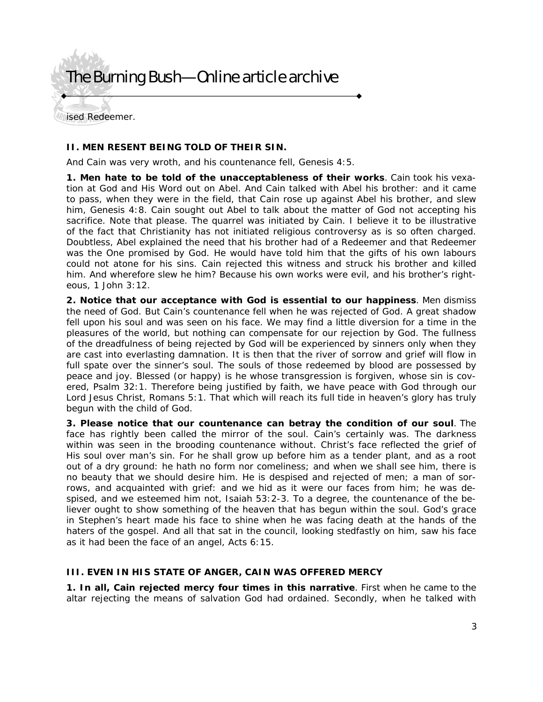ised Redeemer.

### **II. MEN RESENT BEING TOLD OF THEIR SIN.**

*And Cain was very wroth, and his countenance fell*, Genesis 4:5.

**1. Men hate to be told of the unacceptableness of their works**. Cain took his vexation at God and His Word out on Abel. *And Cain talked with Abel his brother: and it came to pass, when they were in the field, that Cain rose up against Abel his brother, and slew him*, Genesis 4:8. Cain sought out Abel to talk about the matter of God not accepting his sacrifice. Note that please. The quarrel was initiated by Cain. I believe it to be illustrative of the fact that Christianity has not initiated religious controversy as is so often charged. Doubtless, Abel explained the need that his brother had of a Redeemer and that Redeemer was the One promised by God. He would have told him that the gifts of his own labours could not atone for his sins. Cain rejected this witness and struck his brother and killed him. *And wherefore slew he him? Because his own works were evil, and his brother's righteous,* 1 John 3:12.

**2. Notice that our acceptance with God is essential to our happiness**. Men dismiss the need of God. But Cain's countenance fell when he was rejected of God. A great shadow fell upon his soul and was seen on his face. We may find a little diversion for a time in the pleasures of the world, but nothing can compensate for our rejection by God. The fullness of the dreadfulness of being rejected by God will be experienced by sinners only when they are cast into everlasting damnation. It is then that the river of sorrow and grief will flow in full spate over the sinner's soul. The souls of those redeemed by blood are possessed by peace and joy. *Blessed* (or happy) *is he whose transgression is forgiven, whose sin is covered*, Psalm 32:1. *Therefore being justified by faith, we have peace with God through our Lord Jesus Christ*, Romans 5:1. That which will reach its full tide in heaven's glory has truly begun with the child of God.

**3. Please notice that our countenance can betray the condition of our soul**. The face has rightly been called the mirror of the soul. Cain's certainly was. The darkness within was seen in the brooding countenance without. Christ's face reflected the grief of His soul over man's sin. *For he shall grow up before him as a tender plant, and as a root out of a dry ground: he hath no form nor comeliness; and when we shall see him, there is no beauty that we should desire him. He is despised and rejected of men; a man of sorrows, and acquainted with grief: and we hid as it were our faces from him; he was despised, and we esteemed him not,* Isaiah 53:2-3. To a degree, the countenance of the believer ought to show something of the heaven that has begun within the soul. God's grace in Stephen's heart made his face to shine when he was facing death at the hands of the haters of the gospel. And all that sat in the council, looking stedfastly on him, saw his face as it had been the face of an angel, Acts 6:15.

#### **III. EVEN IN HIS STATE OF ANGER, CAIN WAS OFFERED MERCY**

**1. In all, Cain rejected mercy four times in this narrative**. First when he came to the altar rejecting the means of salvation God had ordained. Secondly, when he talked with